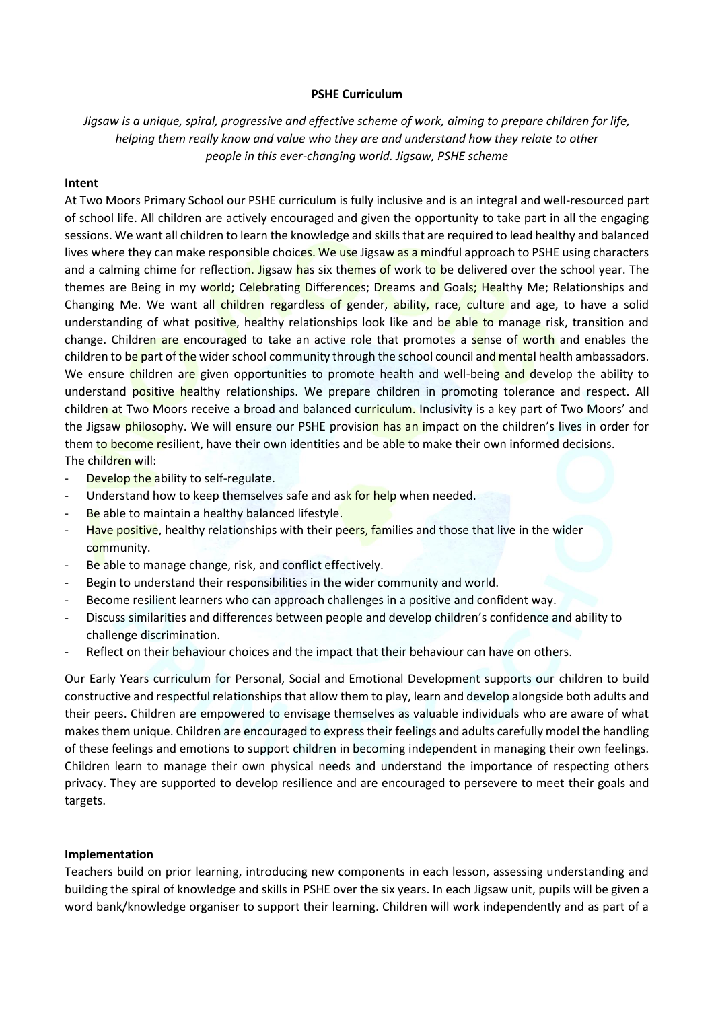## **PSHE Curriculum**

*Jigsaw is a unique, spiral, progressive and effective scheme of work, aiming to prepare children for life, helping them really know and value who they are and understand how they relate to other people in this ever-changing world. Jigsaw, PSHE scheme*

## **Intent**

At Two Moors Primary School our PSHE curriculum is fully inclusive and is an integral and well-resourced part of school life. All children are actively encouraged and given the opportunity to take part in all the engaging sessions. We want all children to learn the knowledge and skills that are required to lead healthy and balanced lives where they can make responsible choices. We use Jigsaw as a mindful approach to PSHE using characters and a calming chime for reflection. Jigsaw has six themes of work to be delivered over the school year. The themes are Being in my world; Celebrating Differences; Dreams and Goals; Healthy Me; Relationships and Changing Me. We want all children regardless of gender, ability, race, culture and age, to have a solid understanding of what positive, healthy relationships look like and be able to manage risk, transition and change. Children are encouraged to take an active role that promotes a sense of worth and enables the children to be part of the wider school community through the school council and mental health ambassadors. We ensure children are given opportunities to promote health and well-being and develop the ability to understand positive healthy relationships. We prepare children in promoting tolerance and respect. All children at Two Moors receive a broad and balanced curriculum. Inclusivity is a key part of Two Moors' and the Jigsaw philosophy. We will ensure our PSHE provision has an impact on the children's lives in order for them to become resilient, have their own identities and be able to make their own informed decisions. The children will:

- Develop the ability to self-regulate.
- Understand how to keep themselves safe and ask for help when needed.
- Be able to maintain a healthy balanced lifestyle.
- Have positive, healthy relationships with their peers, families and those that live in the wider community.
- Be able to manage change, risk, and conflict effectively.
- Begin to understand their responsibilities in the wider community and world.
- Become resilient learners who can approach challenges in a positive and confident way.
- Discuss similarities and differences between people and develop children's confidence and ability to challenge discrimination.
- Reflect on their behaviour choices and the impact that their behaviour can have on others.

Our Early Years curriculum for Personal, Social and Emotional Development supports our children to build constructive and respectful relationships that allow them to play, learn and develop alongside both adults and their peers. Children are empowered to envisage themselves as valuable individuals who are aware of what makes them unique. Children are encouraged to express their feelings and adults carefully model the handling of these feelings and emotions to support children in becoming independent in managing their own feelings. Children learn to manage their own physical needs and understand the importance of respecting others privacy. They are supported to develop resilience and are encouraged to persevere to meet their goals and targets.

## **Implementation**

Teachers build on prior learning, introducing new components in each lesson, assessing understanding and building the spiral of knowledge and skills in PSHE over the six years. In each Jigsaw unit, pupils will be given a word bank/knowledge organiser to support their learning. Children will work independently and as part of a